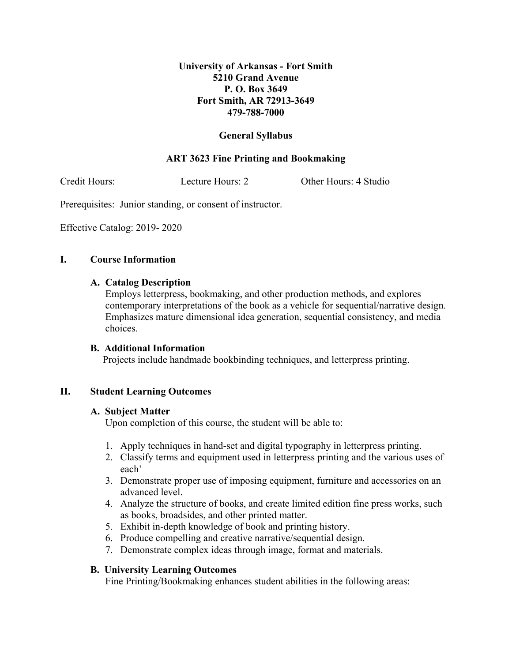# **University of Arkansas - Fort Smith 5210 Grand Avenue P. O. Box 3649 Fort Smith, AR 72913-3649 479-788-7000**

# **General Syllabus**

# **ART 3623 Fine Printing and Bookmaking**

Credit Hours: Lecture Hours: 2 Other Hours: 4 Studio

Prerequisites: Junior standing, or consent of instructor.

Effective Catalog: 2019- 2020

### **I. Course Information**

#### **A. Catalog Description**

Employs letterpress, bookmaking, and other production methods, and explores contemporary interpretations of the book as a vehicle for sequential/narrative design. Emphasizes mature dimensional idea generation, sequential consistency, and media choices.

#### **B. Additional Information**

Projects include handmade bookbinding techniques, and letterpress printing.

#### **II. Student Learning Outcomes**

#### **A. Subject Matter**

Upon completion of this course, the student will be able to:

- 1. Apply techniques in hand-set and digital typography in letterpress printing.
- 2. Classify terms and equipment used in letterpress printing and the various uses of each'
- 3. Demonstrate proper use of imposing equipment, furniture and accessories on an advanced level.
- 4. Analyze the structure of books, and create limited edition fine press works, such as books, broadsides, and other printed matter.
- 5. Exhibit in-depth knowledge of book and printing history.
- 6. Produce compelling and creative narrative/sequential design.
- 7. Demonstrate complex ideas through image, format and materials.

#### **B. University Learning Outcomes**

Fine Printing/Bookmaking enhances student abilities in the following areas: